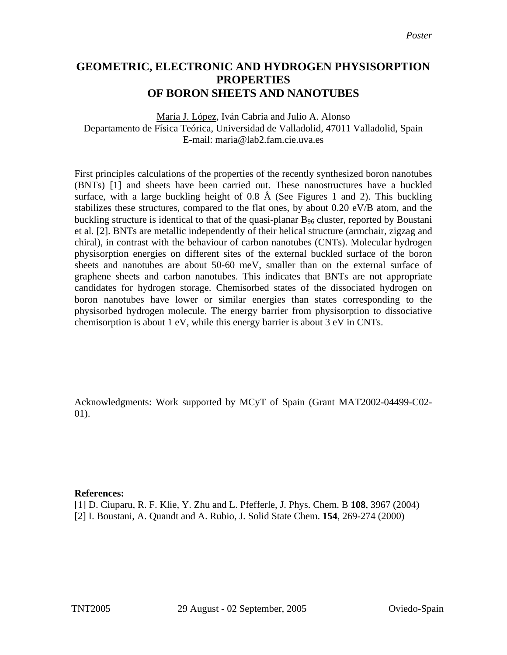## **GEOMETRIC, ELECTRONIC AND HYDROGEN PHYSISORPTION PROPERTIES OF BORON SHEETS AND NANOTUBES**

María J. López, Iván Cabria and Julio A. Alonso Departamento de Física Teórica, Universidad de Valladolid, 47011 Valladolid, Spain E-mail: maria@lab2.fam.cie.uva.es

First principles calculations of the properties of the recently synthesized boron nanotubes (BNTs) [1] and sheets have been carried out. These nanostructures have a buckled surface, with a large buckling height of 0.8 Å (See Figures 1 and 2). This buckling stabilizes these structures, compared to the flat ones, by about 0.20 eV/B atom, and the buckling structure is identical to that of the quasi-planar  $B_{96}$  cluster, reported by Boustani et al. [2]. BNTs are metallic independently of their helical structure (armchair, zigzag and chiral), in contrast with the behaviour of carbon nanotubes (CNTs). Molecular hydrogen physisorption energies on different sites of the external buckled surface of the boron sheets and nanotubes are about 50-60 meV, smaller than on the external surface of graphene sheets and carbon nanotubes. This indicates that BNTs are not appropriate candidates for hydrogen storage. Chemisorbed states of the dissociated hydrogen on boron nanotubes have lower or similar energies than states corresponding to the physisorbed hydrogen molecule. The energy barrier from physisorption to dissociative chemisorption is about 1 eV, while this energy barrier is about 3 eV in CNTs.

Acknowledgments: Work supported by MCyT of Spain (Grant MAT2002-04499-C02- 01).

## **References:**

[1] D. Ciuparu, R. F. Klie, Y. Zhu and L. Pfefferle, J. Phys. Chem. B **108**, 3967 (2004) [2] I. Boustani, A. Quandt and A. Rubio, J. Solid State Chem. **154**, 269-274 (2000)